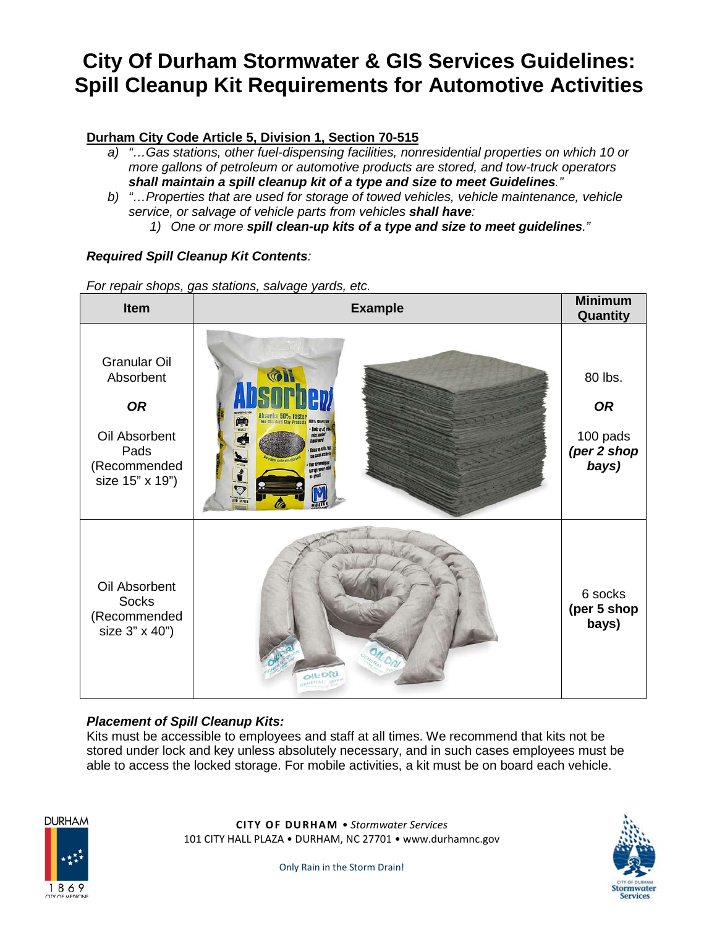# **City Of Durham Stormwater & GIS Services Guidelines: Spill Cleanup Kit Requirements for Automotive Activities**

## **Durham City Code Article 5, Division 1, Section 70-515**

- *a) "…Gas stations, other fuel-dispensing facilities, nonresidential properties on which 10 or more gallons of petroleum or automotive products are stored, and tow-truck operators shall maintain a spill cleanup kit of a type and size to meet Guidelines."*
- *b) "…Properties that are used for storage of towed vehicles, vehicle maintenance, vehicle service, or salvage of vehicle parts from vehicles shall have:*
	- *1) One or more spill clean-up kits of a type and size to meet guidelines."*

## *Required Spill Cleanup Kit Contents:*

*For repair shops, gas stations, salvage yards, etc.*

| Item                                                                                                      | <b>Example</b>                                                                                                                                                                                                                                                                 | <b>Minimum</b><br>Quantity                               |
|-----------------------------------------------------------------------------------------------------------|--------------------------------------------------------------------------------------------------------------------------------------------------------------------------------------------------------------------------------------------------------------------------------|----------------------------------------------------------|
| <b>Granular Oil</b><br>Absorbent<br><b>OR</b><br>Oil Absorbent<br>Pads<br>(Recommended<br>size 15" x 19") | <b>AD</b><br>Absorbs 50% Faster<br>Thas Stadend Clay Products<br>厚<br>100% RUSHIN<br><b>Suite of PL</b><br>vater, contact<br>and any<br><b>SALATA AT AT AT THE THE </b><br>CALCULATION AND IDENTI<br>Plater air bratra 032<br>for three in<br>sa prati<br>sa prati<br>IN #7133 | 80 lbs.<br><b>OR</b><br>100 pads<br>(per 2 shop<br>bays) |
| Oil Absorbent<br><b>Socks</b><br>(Recommended<br>size 3" x 40")                                           | $OIL$ DRI<br><b>SENEDAL-BOC</b>                                                                                                                                                                                                                                                | 6 socks<br>(per 5 shop<br>bays)                          |

#### *Placement of Spill Cleanup Kits:*

Kits must be accessible to employees and staff at all times. We recommend that kits not be stored under lock and key unless absolutely necessary, and in such cases employees must be able to access the locked storage. For mobile activities, a kit must be on board each vehicle.



**CITY OF DURHAM** • *Stormwater Services* 101 CITY HALL PLAZA • DURHAM, NC 27701 • www.durhamnc.gov